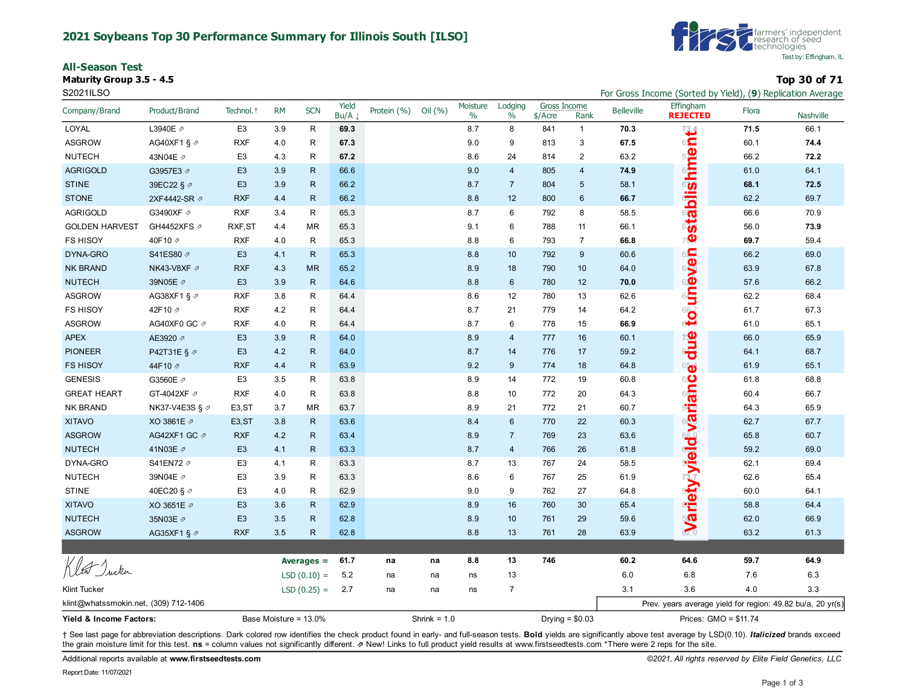#### **2021 Soybeans Top 30 Performance Summary for Illinois South [ILSO]**

**All-Season Test**

**Maturity Group 3.5 - 4.5 Top 30 of 71**



| S2021ILSO                             |                         |                       |                       |               |               |             |                |                  |                 |                                  |                 |                   | For Gross Income (Sorted by Yield), (9) Replication Average |       |           |  |
|---------------------------------------|-------------------------|-----------------------|-----------------------|---------------|---------------|-------------|----------------|------------------|-----------------|----------------------------------|-----------------|-------------------|-------------------------------------------------------------|-------|-----------|--|
| Company/Brand                         | Product/Brand           | Technol. <sup>+</sup> | <b>RM</b>             | <b>SCN</b>    | Yield<br>Bu/A | Protein (%) | Oil (%)        | Moisture<br>$\%$ | Lodging<br>$\%$ | <b>Gross Income</b><br>$$/$ Acre | Rank            | <b>Belleville</b> | Effingham<br><b>REJECTED</b>                                | Flora | Nashville |  |
| LOYAL                                 | L3940E 2                | E <sub>3</sub>        | 3.9                   | R             | 69.3          |             |                | 8.7              | 8               | 841                              | $\overline{1}$  | 70.3              | 73.4                                                        | 71.5  | 66.1      |  |
| <b>ASGROW</b>                         | AG40XF1 § ク             | <b>RXF</b>            | 4.0                   | R             | 67.3          |             |                | 9.0              | 9               | 813                              | 3               | 67.5              | $6\sqrt{2}$                                                 | 60.1  | 74.4      |  |
| <b>NUTECH</b>                         | 43N04E 2                | E <sub>3</sub>        | 4.3                   | R             | 67.2          |             |                | 8.6              | 24              | 814                              | $\mathbf{2}$    | 63.2              |                                                             | 66.2  | 72.2      |  |
| <b>AGRIGOLD</b>                       | G3957E3 2               | E <sub>3</sub>        | 3.9                   | $\mathsf{R}$  | 66.6          |             |                | 9.0              | $\overline{4}$  | 805                              | $\overline{4}$  | 74.9              | hime                                                        | 61.0  | 64.1      |  |
| <b>STINE</b>                          | 39EC22 § 2              | E <sub>3</sub>        | 3.9                   | $\mathsf{R}$  | 66.2          |             |                | 8.7              | $\overline{7}$  | 804                              | 5               | 58.1              |                                                             | 68.1  | 72.5      |  |
| <b>STONE</b>                          | 2XF4442-SR 7            | <b>RXF</b>            | 4.4                   | $\mathsf{R}$  | 66.2          |             |                | 8.8              | 12              | 800                              | $6\phantom{1}6$ | 66.7              |                                                             | 62.2  | 69.7      |  |
| <b>AGRIGOLD</b>                       | G3490XF 2               | <b>RXF</b>            | 3.4                   | $\mathsf{R}$  | 65.3          |             |                | 8.7              | 6               | 792                              | 8               | 58.5              | <b>Stablis</b>                                              | 66.6  | 70.9      |  |
| <b>GOLDEN HARVEST</b>                 | GH4452XFS 2             | RXF, ST               | 4.4                   | <b>MR</b>     | 65.3          |             |                | 9.1              | 6               | 788                              | 11              | 66.1              |                                                             | 56.0  | 73.9      |  |
| <b>FS HISOY</b>                       | 40F10 2                 | <b>RXF</b>            | 4.0                   | R             | 65.3          |             |                | 8.8              | 6               | 793                              | $\overline{7}$  | 66.8              | 70                                                          | 69.7  | 59.4      |  |
| DYNA-GRO                              | S41ES80 2               | E <sub>3</sub>        | 4.1                   | $\mathsf{R}$  | 65.3          |             |                | 8.8              | 10 <sup>°</sup> | 792                              | $9\,$           | 60.6              |                                                             | 66.2  | 69.0      |  |
| <b>NK BRAND</b>                       | NK43-V8XF ク             | <b>RXF</b>            | 4.3                   | <b>MR</b>     | 65.2          |             |                | 8.9              | 18              | 790                              | 10              | 64.0              |                                                             | 63.9  | 67.8      |  |
| <b>NUTECH</b>                         | 39N05E 2                | E <sub>3</sub>        | 3.9                   | $\mathsf{R}$  | 64.6          |             |                | 8.8              | 6               | 780                              | 12              | 70.0              |                                                             | 57.6  | 66.2      |  |
| <b>ASGROW</b>                         | AG38XF1 § 2             | <b>RXF</b>            | 3.8                   | $\mathsf{R}$  | 64.4          |             |                | 8.6              | 12              | 780                              | 13              | 62.6              | uneven                                                      | 62.2  | 68.4      |  |
| <b>FS HISOY</b>                       | 42F10 A                 | <b>RXF</b>            | 4.2                   | R             | 64.4          |             |                | 8.7              | 21              | 779                              | 14              | 64.2              |                                                             | 61.7  | 67.3      |  |
| <b>ASGROW</b>                         | AG40XF0 GC 2            | <b>RXF</b>            | 4.0                   | $\mathsf R$   | 64.4          |             |                | 8.7              | 6               | 778                              | 15              | 66.9              | 60                                                          | 61.0  | 65.1      |  |
| <b>APEX</b>                           | AE3920 2                | E <sub>3</sub>        | 3.9                   | $\mathsf{R}$  | 64.0          |             |                | 8.9              | $\overline{4}$  | 777                              | 16              | 60.1              | aug                                                         | 66.0  | 65.9      |  |
| <b>PIONEER</b>                        | P42T31E § ク             | E <sub>3</sub>        | 4.2                   | $\mathsf{R}$  | 64.0          |             |                | 8.7              | 14              | 776                              | 17              | 59.2              |                                                             | 64.1  | 68.7      |  |
| <b>FS HISOY</b>                       | 44F10 A                 | <b>RXF</b>            | 4.4                   | $\mathsf{R}$  | 63.9          |             |                | 9.2              | 9               | 774                              | 18              | 64.8              | 65                                                          | 61.9  | 65.1      |  |
| <b>GENESIS</b>                        | G3560E 2                | E <sub>3</sub>        | 3.5                   | R             | 63.8          |             |                | 8.9              | 14              | 772                              | 19              | 60.8              | $6\bigcirc$                                                 | 61.8  | 68.8      |  |
| <b>GREAT HEART</b>                    | GT-4042XF ク             | <b>RXF</b>            | 4.0                   | $\mathsf{R}$  | 63.8          |             |                | 8.8              | 10              | 772                              | 20              | 64.3              |                                                             | 60.4  | 66.7      |  |
| NK BRAND                              | NK37-V4E3S § ₽          | E <sub>3</sub> , ST   | 3.7                   | <b>MR</b>     | 63.7          |             |                | 8.9              | 21              | 772                              | 21              | 60.7              | ै <mark>त</mark><br>पं <mark>च</mark>                       | 64.3  | 65.9      |  |
| <b>XITAVO</b>                         | XO 3861E 2              | E <sub>3</sub> , ST   | 3.8                   | $\mathsf{R}$  | 63.6          |             |                | 8.4              | 6               | 770                              | 22              | 60.3              |                                                             | 62.7  | 67.7      |  |
| <b>ASGROW</b>                         | AG42XF1 GC 2            | <b>RXF</b>            | 4.2                   | $\mathsf{R}$  | 63.4          |             |                | 8.9              | $\overline{7}$  | 769                              | 23              | 63.6              |                                                             | 65.8  | 60.7      |  |
| <b>NUTECH</b>                         | 41N03E 2                | E <sub>3</sub>        | 4.1                   | $\mathsf{R}$  | 63.3          |             |                | 8.7              | $\overline{4}$  | 766                              | 26              | 61.8              |                                                             | 59.2  | 69.0      |  |
| DYNA-GRO                              | S41EN72 2               | E <sub>3</sub>        | 4.1                   | $\mathsf{R}$  | 63.3          |             |                | 8.7              | 13              | 767                              | 24              | 58.5              |                                                             | 62.1  | 69.4      |  |
| <b>NUTECH</b>                         | 39N04E 2                | E <sub>3</sub>        | 3.9                   | R             | 63.3          |             |                | 8.6              | 6               | 767                              | 25              | 61.9              |                                                             | 62.6  | 65.4      |  |
| <b>STINE</b>                          | 40EC20 § ⊉              | E <sub>3</sub>        | 4.0                   | R             | 62.9          |             |                | 9.0              | 9               | 762                              | 27              | 64.8              | rietyä vieldava                                             | 60.0  | 64.1      |  |
| <b>XITAVO</b>                         | XO 3651E 7              | E <sub>3</sub>        | 3.6                   | $\mathsf{R}$  | 62.9          |             |                | 8.9              | 16              | 760                              | 30              | 65.4              |                                                             | 58.8  | 64.4      |  |
| <b>NUTECH</b>                         | 35N03E 2                | E <sub>3</sub>        | 3.5                   | $\mathsf{R}$  | 62.8          |             |                | 8.9              | 10 <sup>1</sup> | 761                              | 29              | 59.6              | 500                                                         | 62.0  | 66.9      |  |
| <b>ASGROW</b>                         | AG35XF1 § $\varnothing$ | <b>RXF</b>            | 3.5                   | $\mathsf{R}$  | 62.8          |             |                | 8.8              | 13              | 761                              | 28              | 63.9              |                                                             | 63.2  | 61.3      |  |
|                                       |                         |                       |                       |               |               |             |                |                  |                 |                                  |                 |                   |                                                             |       |           |  |
| Kler Inder                            |                         |                       |                       | Averages $=$  | 61.7          | na          | na             | 8.8              | 13              | 746                              |                 | 60.2              | 64.6                                                        | 59.7  | 64.9      |  |
|                                       |                         |                       | $LSD(0.10) =$         |               | 5.2           | na          | na             | ns               | 13              |                                  |                 | 6.0               | 6.8                                                         | 7.6   | $6.3\,$   |  |
| <b>Klint Tucker</b>                   |                         |                       |                       | $LSD(0.25) =$ | 2.7           | na          | na             | ns               | $\overline{7}$  |                                  |                 | 3.1               | 3.6                                                         | 4.0   | 3.3       |  |
| klint@whatssmokin.net, (309) 712-1406 |                         |                       |                       |               |               |             |                |                  |                 |                                  |                 |                   | Prev. years average yield for region: 49.82 bu/a, 20 yr(s)  |       |           |  |
| Yield & Income Factors:               |                         |                       | Base Moisture = 13.0% |               |               |             | Shrink = $1.0$ |                  |                 | Drying = $$0.03$                 |                 |                   | Prices: GMO = \$11.74                                       |       |           |  |

+ See last page for abbreviation descriptions. Dark colored row identifies the check product found in early- and full-season tests. Bold yields are significantly above test average by LSD(0.10). Italicized brands exceed the grain moisture limit for this test. ns = column values not significantly different. **z** New! Links to full product yield results at www.firstseedtests.com \*There were 2 reps for the site.

Additional reports available at **[www.firstseedtests.com](https://www.firstseedtests.com)** *©2021, All rights reserved by Elite Field Genetics, LLC*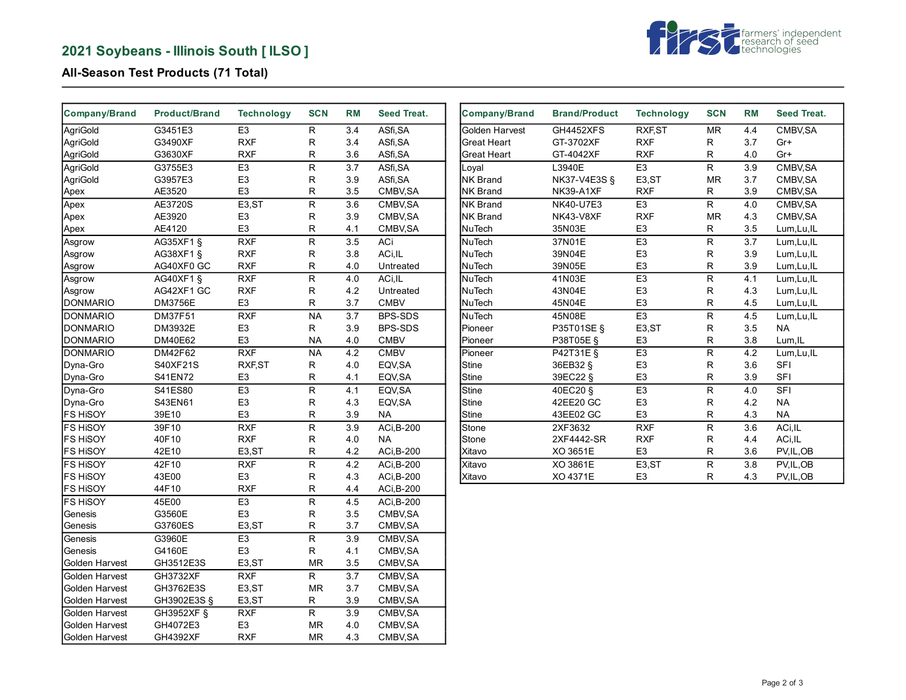# **2021 Soybeans - Illinois South [ ILSO ]**



## **All-Season Test Products (71 Total)**

| <b>Company/Brand</b> | <b>Product/Brand</b> | <b>Technology</b>  | <b>SCN</b>     | <b>RM</b>        | <b>Seed Treat.</b> | <b>Company/Brand</b> | <b>Brand/Product</b> | <b>Technology</b> | <b>SCN</b>              | <b>RM</b> | Seed Treat. |
|----------------------|----------------------|--------------------|----------------|------------------|--------------------|----------------------|----------------------|-------------------|-------------------------|-----------|-------------|
| AgriGold             | G3451E3              | E <sub>3</sub>     | R              | 3.4              | ASfi, SA           | Golden Harvest       | GH4452XFS            | RXF, ST           | <b>MR</b>               | 4.4       | CMBV, SA    |
| AgriGold             | G3490XF              | <b>RXF</b>         | R              | 3.4              | ASfi, SA           | <b>Great Heart</b>   | GT-3702XF            | <b>RXF</b>        | R                       | 3.7       | Gr+         |
| AgriGold             | G3630XF              | <b>RXF</b>         | R              | 3.6              | ASfi, SA           | <b>Great Heart</b>   | GT-4042XF            | <b>RXF</b>        | R                       | 4.0       | Gr+         |
| AgriGold             | G3755E3              | E <sub>3</sub>     | R              | 3.7              | ASfi, SA           | Loval                | L3940E               | E <sub>3</sub>    | $\mathsf{R}$            | 3.9       | CMBV, SA    |
| AgriGold             | G3957E3              | E <sub>3</sub>     | R              | 3.9              | ASfi, SA           | <b>NK Brand</b>      | NK37-V4E3S §         | E3,ST             | MR                      | 3.7       | CMBV, SA    |
| Apex                 | AE3520               | E <sub>3</sub>     | R              | 3.5              | CMBV, SA           | <b>NK Brand</b>      | NK39-A1XF            | <b>RXF</b>        | R                       | 3.9       | CMBV, SA    |
| Apex                 | AE3720S              | E3,ST              | R              | 3.6              | CMBV, SA           | <b>NK Brand</b>      | <b>NK40-U7E3</b>     | E <sub>3</sub>    | $\mathsf{R}$            | 4.0       | CMBV, SA    |
| Apex                 | AE3920               | E <sub>3</sub>     | R              | 3.9              | CMBV, SA           | <b>NK Brand</b>      | NK43-V8XF            | <b>RXF</b>        | <b>MR</b>               | 4.3       | CMBV, SA    |
| Apex                 | AE4120               | E <sub>3</sub>     | R              | 4.1              | CMBV, SA           | NuTech               | 35N03E               | E <sub>3</sub>    | R                       | 3.5       | Lum, Lu, IL |
| Asgrow               | AG35XF1§             | RXF                | $\overline{R}$ | 3.5              | ACi                | NuTech               | 37N01E               | E3                | ${\sf R}$               | 3.7       | Lum, Lu, IL |
| Asgrow               | AG38XF1 §            | <b>RXF</b>         | R              | 3.8              | ACi, IL            | NuTech               | 39N04E               | E <sub>3</sub>    | R                       | 3.9       | Lum, Lu, IL |
| Asgrow               | AG40XF0 GC           | <b>RXF</b>         | R              | 4.0              | Untreated          | NuTech               | 39N05E               | E <sub>3</sub>    | ${\sf R}$               | 3.9       | Lum, Lu, IL |
| Asgrow               | AG40XF1 §            | RXF                | R              | 4.0              | ACi, IL            | <b>NuTech</b>        | 41N03E               | E3                | $\overline{\mathsf{R}}$ | 4.1       | Lum, Lu, IL |
| Asgrow               | AG42XF1 GC           | <b>RXF</b>         | R              | 4.2              | Untreated          | NuTech               | 43N04E               | E <sub>3</sub>    | ${\sf R}$               | 4.3       | Lum, Lu, IL |
| <b>DONMARIO</b>      | DM3756E              | E <sub>3</sub>     | R              | 3.7              | <b>CMBV</b>        | <b>NuTech</b>        | 45N04E               | E <sub>3</sub>    | R                       | 4.5       | Lum, Lu, IL |
| <b>DONMARIO</b>      | DM37F51              | RXF                | <b>NA</b>      | 3.7              | BPS-SDS            | NuTech               | 45N08E               | E3                | $\overline{R}$          | 4.5       | Lum, Lu, IL |
| <b>DONMARIO</b>      | DM3932E              | E <sub>3</sub>     | R              | 3.9              | BPS-SDS            | Pioneer              | P35T01SE §           | E3,ST             | ${\sf R}$               | 3.5       | NA          |
| <b>DONMARIO</b>      | DM40E62              | E <sub>3</sub>     | <b>NA</b>      | 4.0              | <b>CMBV</b>        | Pioneer              | P38T05E §            | E <sub>3</sub>    | $\mathsf R$             | 3.8       | Lum, IL     |
| <b>DONMARIO</b>      | DM42F62              | RXF                | $N_A$          | 4.2              | <b>CMBV</b>        | Pioneer              | P42T31E §            | E3                | ${\sf R}$               | 4.2       | Lum, Lu, IL |
| Dyna-Gro             | S40XF21S             | RXF, ST            | R              | 4.0              | EQV, SA            | <b>Stine</b>         | 36EB32 §             | E <sub>3</sub>    | ${\sf R}$               | 3.6       | <b>SFI</b>  |
| Dyna-Gro             | S41EN72              | E <sub>3</sub>     | R              | 4.1              | EQV, SA            | <b>Stine</b>         | 39EC22 §             | E <sub>3</sub>    | $\mathsf{R}$            | 3.9       | <b>SFI</b>  |
| Dyna-Gro             | S41ES80              | E <sub>3</sub>     | R              | 4.1              | EQV, SA            | <b>Stine</b>         | 40EC20 §             | E <sub>3</sub>    | ${\sf R}$               | 4.0       | <b>SFI</b>  |
| Dyna-Gro             | S43EN61              | E <sub>3</sub>     | R              | 4.3              | EQV, SA            | <b>Stine</b>         | 42EE20 GC            | E <sub>3</sub>    | $\mathsf R$             | 4.2       | <b>NA</b>   |
| <b>FS HISOY</b>      | 39E10                | E <sub>3</sub>     | R              | 3.9              | NA                 | <b>Stine</b>         | 43EE02 GC            | E <sub>3</sub>    | $\mathsf R$             | 4.3       | <b>NA</b>   |
| <b>FS HISOY</b>      | 39F10                | RXF                | $\overline{R}$ | 3.9              | ACi, B-200         | Stone                | 2XF3632              | RXF               | $\overline{R}$          | 3.6       | ACi, IL     |
| <b>FS HISOY</b>      | 40F10                | <b>RXF</b>         | R              | 4.0              | <b>NA</b>          | Stone                | 2XF4442-SR           | <b>RXF</b>        | R                       | 4.4       | ACi, IL     |
| <b>FS HISOY</b>      | 42E10                | E3,ST              | R              | 4.2              | ACi, B-200         | Xitavo               | XO 3651E             | E <sub>3</sub>    | ${\sf R}$               | 3.6       | PV, IL, OB  |
| <b>FS HISOY</b>      | 42F10                | RXF                | $\overline{R}$ | 4.2              | ACi, B-200         | Xitavo               | XO 3861E             | E3,ST             | ${\sf R}$               | 3.8       | PV, IL, OB  |
| <b>FS HISOY</b>      | 43E00                | E <sub>3</sub>     | R              | 4.3              | ACi, B-200         | Xitavo               | XO 4371E             | E <sub>3</sub>    | R                       | 4.3       | PV, IL, OB  |
| FS HISOY             | 44F10                | <b>RXF</b>         | R              | 4.4              | ACi, B-200         |                      |                      |                   |                         |           |             |
| FS HISOY             | 45E00                | E <sub>3</sub>     | R              | 4.5              | ACi, B-200         |                      |                      |                   |                         |           |             |
| Genesis              | G3560E               | E <sub>3</sub>     | R              | 3.5              | CMBV, SA           |                      |                      |                   |                         |           |             |
| Genesis              | G3760ES              | E <sub>3</sub> ,ST | R              | 3.7              | CMBV, SA           |                      |                      |                   |                         |           |             |
| Genesis              | G3960E               | E3                 | $\overline{R}$ | $\overline{3.9}$ | CMBV, SA           |                      |                      |                   |                         |           |             |
| Genesis              | G4160E               | E <sub>3</sub>     | R              | 4.1              | CMBV, SA           |                      |                      |                   |                         |           |             |
| Golden Harvest       | GH3512E3S            | E3,ST              | MR             | 3.5              | CMBV, SA           |                      |                      |                   |                         |           |             |
|                      |                      | RXF                | $\mathsf{R}$   | 3.7              |                    |                      |                      |                   |                         |           |             |
| Golden Harvest       | <b>GH3732XF</b>      |                    |                |                  | CMBV, SA           |                      |                      |                   |                         |           |             |
| Golden Harvest       | GH3762E3S            | E3,ST              | MR             | 3.7              | CMBV, SA           |                      |                      |                   |                         |           |             |
| Golden Harvest       | GH3902E3S §          | E3,ST              | R              | 3.9              | CMBV, SA           |                      |                      |                   |                         |           |             |
| Golden Harvest       | GH3952XF §           | RXF                | $\overline{R}$ | 3.9              | CMBV, SA           |                      |                      |                   |                         |           |             |
| Golden Harvest       | GH4072E3             | E <sub>3</sub>     | MR             | 4.0              | CMBV, SA           |                      |                      |                   |                         |           |             |
| Golden Harvest       | GH4392XF             | <b>RXF</b>         | <b>MR</b>      | 4.3              | CMBV, SA           |                      |                      |                   |                         |           |             |